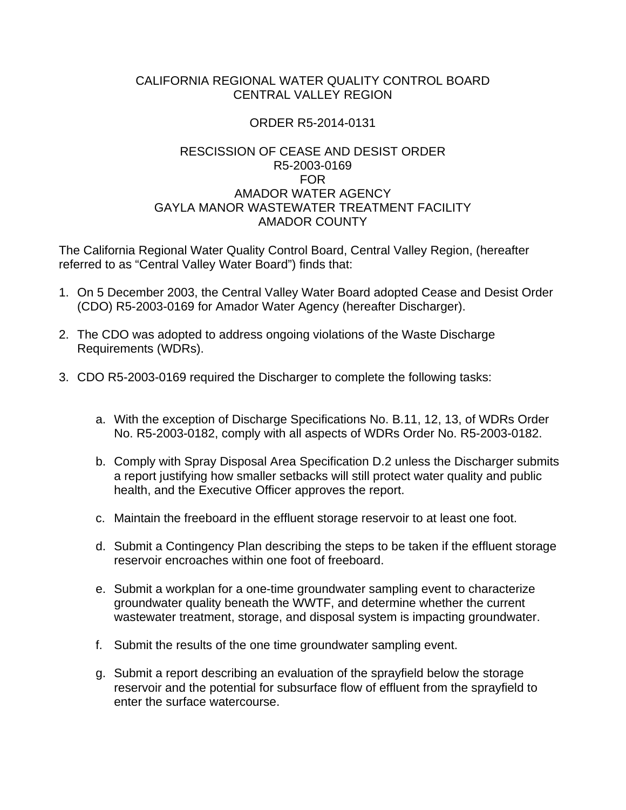## CALIFORNIA REGIONAL WATER QUALITY CONTROL BOARD CENTRAL VALLEY REGION

## ORDER R5-2014-0131

## RESCISSION OF CEASE AND DESIST ORDER R5-2003-0169 FOR AMADOR WATER AGENCY GAYLA MANOR WASTEWATER TREATMENT FACILITY AMADOR COUNTY

The California Regional Water Quality Control Board, Central Valley Region, (hereafter referred to as "Central Valley Water Board") finds that:

- 1. On 5 December 2003, the Central Valley Water Board adopted Cease and Desist Order (CDO) R5-2003-0169 for Amador Water Agency (hereafter Discharger).
- 2. The CDO was adopted to address ongoing violations of the Waste Discharge Requirements (WDRs).
- 3. CDO R5-2003-0169 required the Discharger to complete the following tasks:
	- a. With the exception of Discharge Specifications No. B.11, 12, 13, of WDRs Order No. R5-2003-0182, comply with all aspects of WDRs Order No. R5-2003-0182.
	- b. Comply with Spray Disposal Area Specification D.2 unless the Discharger submits a report justifying how smaller setbacks will still protect water quality and public health, and the Executive Officer approves the report.
	- c. Maintain the freeboard in the effluent storage reservoir to at least one foot.
	- d. Submit a Contingency Plan describing the steps to be taken if the effluent storage reservoir encroaches within one foot of freeboard.
	- e. Submit a workplan for a one-time groundwater sampling event to characterize groundwater quality beneath the WWTF, and determine whether the current wastewater treatment, storage, and disposal system is impacting groundwater.
	- f. Submit the results of the one time groundwater sampling event.
	- g. Submit a report describing an evaluation of the sprayfield below the storage reservoir and the potential for subsurface flow of effluent from the sprayfield to enter the surface watercourse.